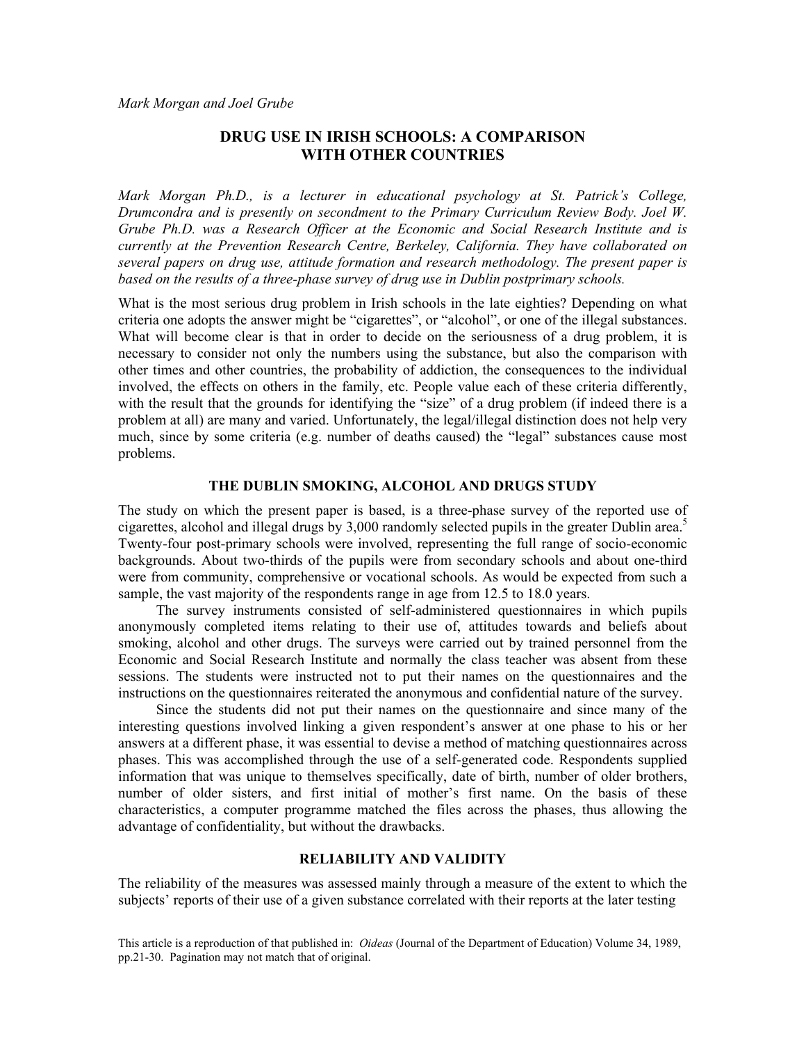# **DRUG USE IN IRISH SCHOOLS: A COMPARISON WITH OTHER COUNTRIES**

*Mark Morgan Ph.D., is a lecturer in educational psychology at St. Patrick's College, Drumcondra and is presently on secondment to the Primary Curriculum Review Body. Joel W. Grube Ph.D. was a Research Officer at the Economic and Social Research Institute and is currently at the Prevention Research Centre, Berkeley, California. They have collaborated on several papers on drug use, attitude formation and research methodology. The present paper is based on the results of a three-phase survey of drug use in Dublin postprimary schools.* 

What is the most serious drug problem in Irish schools in the late eighties? Depending on what criteria one adopts the answer might be "cigarettes", or "alcohol", or one of the illegal substances. What will become clear is that in order to decide on the seriousness of a drug problem, it is necessary to consider not only the numbers using the substance, but also the comparison with other times and other countries, the probability of addiction, the consequences to the individual involved, the effects on others in the family, etc. People value each of these criteria differently, with the result that the grounds for identifying the "size" of a drug problem (if indeed there is a problem at all) are many and varied. Unfortunately, the legal/illegal distinction does not help very much, since by some criteria (e.g. number of deaths caused) the "legal" substances cause most problems.

## **THE DUBLIN SMOKING, ALCOHOL AND DRUGS STUDY**

The study on which the present paper is based, is a three-phase survey of the reported use of cigarettes, alcohol and illegal drugs by 3,000 randomly selected pupils in the greater Dublin area.<sup>5</sup> Twenty-four post-primary schools were involved, representing the full range of socio-economic backgrounds. About two-thirds of the pupils were from secondary schools and about one-third were from community, comprehensive or vocational schools. As would be expected from such a sample, the vast majority of the respondents range in age from 12.5 to 18.0 years.

The survey instruments consisted of self-administered questionnaires in which pupils anonymously completed items relating to their use of, attitudes towards and beliefs about smoking, alcohol and other drugs. The surveys were carried out by trained personnel from the Economic and Social Research Institute and normally the class teacher was absent from these sessions. The students were instructed not to put their names on the questionnaires and the instructions on the questionnaires reiterated the anonymous and confidential nature of the survey.

Since the students did not put their names on the questionnaire and since many of the interesting questions involved linking a given respondent's answer at one phase to his or her answers at a different phase, it was essential to devise a method of matching questionnaires across phases. This was accomplished through the use of a self-generated code. Respondents supplied information that was unique to themselves specifically, date of birth, number of older brothers, number of older sisters, and first initial of mother's first name. On the basis of these characteristics, a computer programme matched the files across the phases, thus allowing the advantage of confidentiality, but without the drawbacks.

#### **RELIABILITY AND VALIDITY**

The reliability of the measures was assessed mainly through a measure of the extent to which the subjects' reports of their use of a given substance correlated with their reports at the later testing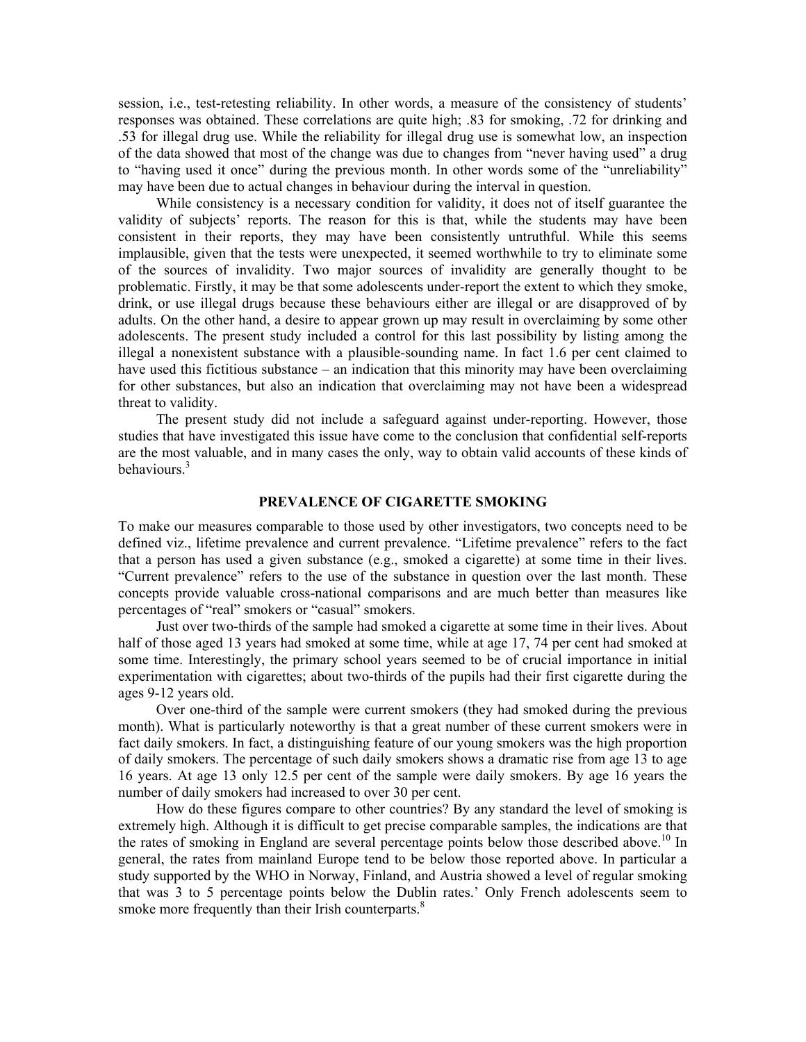session, i.e., test-retesting reliability. In other words, a measure of the consistency of students' responses was obtained. These correlations are quite high; .83 for smoking, .72 for drinking and .53 for illegal drug use. While the reliability for illegal drug use is somewhat low, an inspection of the data showed that most of the change was due to changes from "never having used" a drug to "having used it once" during the previous month. In other words some of the "unreliability" may have been due to actual changes in behaviour during the interval in question.

 While consistency is a necessary condition for validity, it does not of itself guarantee the validity of subjects' reports. The reason for this is that, while the students may have been consistent in their reports, they may have been consistently untruthful. While this seems implausible, given that the tests were unexpected, it seemed worthwhile to try to eliminate some of the sources of invalidity. Two major sources of invalidity are generally thought to be problematic. Firstly, it may be that some adolescents under-report the extent to which they smoke, drink, or use illegal drugs because these behaviours either are illegal or are disapproved of by adults. On the other hand, a desire to appear grown up may result in overclaiming by some other adolescents. The present study included a control for this last possibility by listing among the illegal a nonexistent substance with a plausible-sounding name. In fact 1.6 per cent claimed to have used this fictitious substance – an indication that this minority may have been overclaiming for other substances, but also an indication that overclaiming may not have been a widespread threat to validity.

 The present study did not include a safeguard against under-reporting. However, those studies that have investigated this issue have come to the conclusion that confidential self-reports are the most valuable, and in many cases the only, way to obtain valid accounts of these kinds of behaviours.<sup>3</sup>

# **PREVALENCE OF CIGARETTE SMOKING**

To make our measures comparable to those used by other investigators, two concepts need to be defined viz., lifetime prevalence and current prevalence. "Lifetime prevalence" refers to the fact that a person has used a given substance (e.g., smoked a cigarette) at some time in their lives. "Current prevalence" refers to the use of the substance in question over the last month. These concepts provide valuable cross-national comparisons and are much better than measures like percentages of "real" smokers or "casual" smokers.

 Just over two-thirds of the sample had smoked a cigarette at some time in their lives. About half of those aged 13 years had smoked at some time, while at age 17, 74 per cent had smoked at some time. Interestingly, the primary school years seemed to be of crucial importance in initial experimentation with cigarettes; about two-thirds of the pupils had their first cigarette during the ages 9-12 years old.

 Over one-third of the sample were current smokers (they had smoked during the previous month). What is particularly noteworthy is that a great number of these current smokers were in fact daily smokers. In fact, a distinguishing feature of our young smokers was the high proportion of daily smokers. The percentage of such daily smokers shows a dramatic rise from age 13 to age 16 years. At age 13 only 12.5 per cent of the sample were daily smokers. By age 16 years the number of daily smokers had increased to over 30 per cent.

 How do these figures compare to other countries? By any standard the level of smoking is extremely high. Although it is difficult to get precise comparable samples, the indications are that the rates of smoking in England are several percentage points below those described above.<sup>10</sup> In general, the rates from mainland Europe tend to be below those reported above. In particular a study supported by the WHO in Norway, Finland, and Austria showed a level of regular smoking that was 3 to 5 percentage points below the Dublin rates.' Only French adolescents seem to smoke more frequently than their Irish counterparts.<sup>8</sup>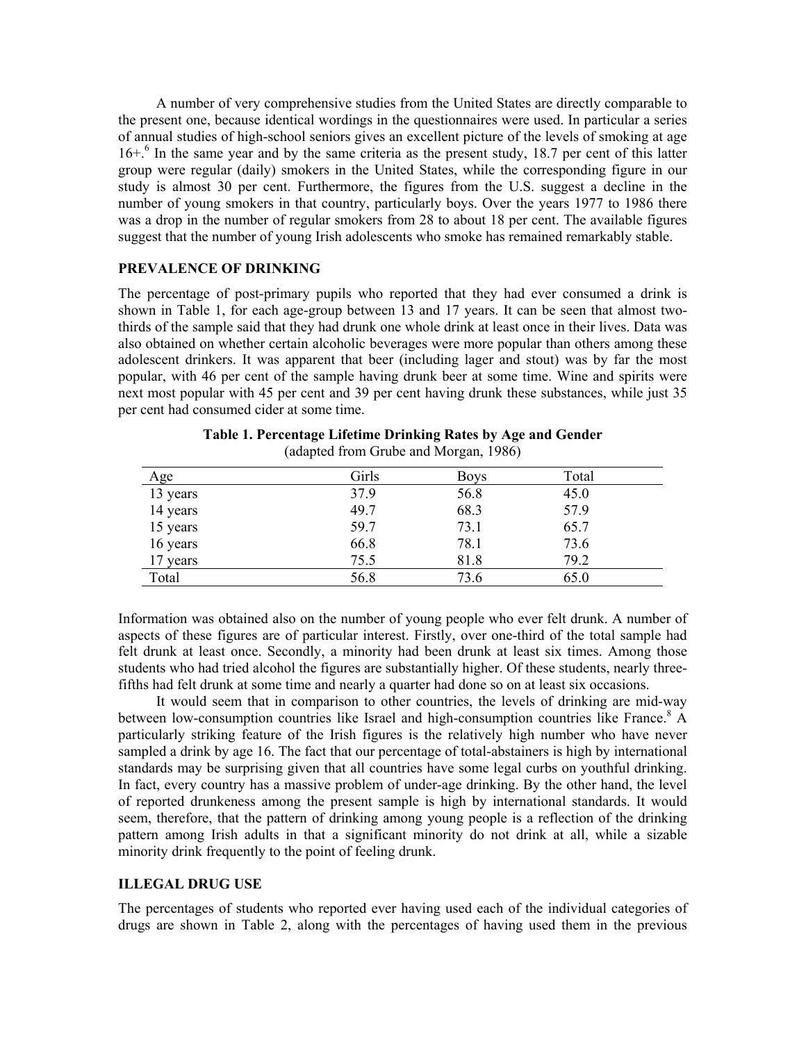A number of very comprehensive studies from the United States are directly comparable to the present one, because identical wordings in the questionnaires were used. In particular a series of annual studies of high-school seniors gives an excellent picture of the levels of smoking at age 16+.<sup>6</sup> In the same year and by the same criteria as the present study, 18.7 per cent of this latter group were regular (daily) smokers in the United States, while the corresponding figure in our study is almost 30 per cent. Furthermore, the figures from the U.S. suggest a decline in the number of young smokers in that country, particularly boys. Over the years 1977 to 1986 there was a drop in the number of regular smokers from 28 to about 18 per cent. The available figures suggest that the number of young Irish adolescents who smoke has remained remarkably stable.

# **PREVALENCE OF DRINKING**

The percentage of post-primary pupils who reported that they had ever consumed a drink is shown in Table 1, for each age-group between 13 and 17 years. It can be seen that almost twothirds of the sample said that they had drunk one whole drink at least once in their lives. Data was also obtained on whether certain alcoholic beverages were more popular than others among these adolescent drinkers. It was apparent that beer (including lager and stout) was by far the most popular, with 46 per cent of the sample having drunk beer at some time. Wine and spirits were next most popular with 45 per cent and 39 per cent having drunk these substances, while just 35 per cent had consumed cider at some time.

| Age      | Girls | <b>Boys</b> | Total |
|----------|-------|-------------|-------|
| 13 years | 37.9  | 56.8        | 45.0  |
| 14 years | 49.7  | 68.3        | 57.9  |
| 15 years | 59.7  | 73.1        | 65.7  |
| 16 years | 66.8  | 78.1        | 73.6  |
| 17 years | 75.5  | 81.8        | 79.2  |
| Total    | 56.8  | 73.6        | 65.0  |

| Table 1. Percentage Lifetime Drinking Rates by Age and Gender |  |
|---------------------------------------------------------------|--|
| (adapted from Grube and Morgan, 1986)                         |  |

Information was obtained also on the number of young people who ever felt drunk. A number of aspects of these figures are of particular interest. Firstly, over one-third of the total sample had felt drunk at least once. Secondly, a minority had been drunk at least six times. Among those students who had tried alcohol the figures are substantially higher. Of these students, nearly threefifths had felt drunk at some time and nearly a quarter had done so on at least six occasions.

 It would seem that in comparison to other countries, the levels of drinking are mid-way between low-consumption countries like Israel and high-consumption countries like France.<sup>8</sup> A particularly striking feature of the Irish figures is the relatively high number who have never sampled a drink by age 16. The fact that our percentage of total-abstainers is high by international standards may be surprising given that all countries have some legal curbs on youthful drinking. In fact, every country has a massive problem of under-age drinking. By the other hand, the level of reported drunkeness among the present sample is high by international standards. It would seem, therefore, that the pattern of drinking among young people is a reflection of the drinking pattern among Irish adults in that a significant minority do not drink at all, while a sizable minority drink frequently to the point of feeling drunk.

## **ILLEGAL DRUG USE**

The percentages of students who reported ever having used each of the individual categories of drugs are shown in Table 2, along with the percentages of having used them in the previous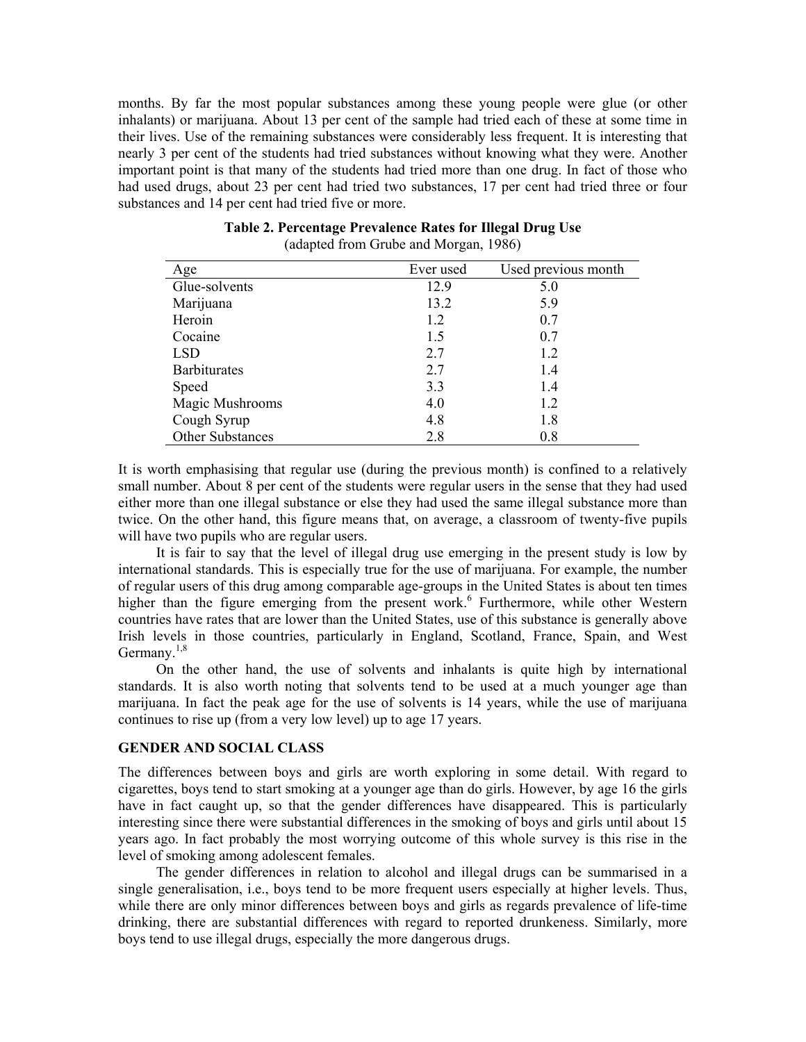months. By far the most popular substances among these young people were glue (or other inhalants) or marijuana. About 13 per cent of the sample had tried each of these at some time in their lives. Use of the remaining substances were considerably less frequent. It is interesting that nearly 3 per cent of the students had tried substances without knowing what they were. Another important point is that many of the students had tried more than one drug. In fact of those who had used drugs, about 23 per cent had tried two substances, 17 per cent had tried three or four substances and 14 per cent had tried five or more.

| Age                 | Ever used | Used previous month |
|---------------------|-----------|---------------------|
| Glue-solvents       | 12.9      | 5.0                 |
| Marijuana           | 13.2      | 5.9                 |
| Heroin              | 1.2       | 0.7                 |
| Cocaine             | 1.5       | 0.7                 |
| <b>LSD</b>          | 2.7       | 1.2                 |
| <b>Barbiturates</b> | 2.7       | 1.4                 |
| Speed               | 3.3       | 1.4                 |
| Magic Mushrooms     | 4.0       | 1.2                 |
| Cough Syrup         | 4.8       | 1.8                 |
| Other Substances    | 2.8       | 0.8                 |

# **Table 2. Percentage Prevalence Rates for Illegal Drug Use**  (adapted from Grube and Morgan, 1986)

It is worth emphasising that regular use (during the previous month) is confined to a relatively small number. About 8 per cent of the students were regular users in the sense that they had used either more than one illegal substance or else they had used the same illegal substance more than twice. On the other hand, this figure means that, on average, a classroom of twenty-five pupils will have two pupils who are regular users.

 It is fair to say that the level of illegal drug use emerging in the present study is low by international standards. This is especially true for the use of marijuana. For example, the number of regular users of this drug among comparable age-groups in the United States is about ten times higher than the figure emerging from the present work.<sup>6</sup> Furthermore, while other Western countries have rates that are lower than the United States, use of this substance is generally above Irish levels in those countries, particularly in England, Scotland, France, Spain, and West Germany. $1,8$ 

 On the other hand, the use of solvents and inhalants is quite high by international standards. It is also worth noting that solvents tend to be used at a much younger age than marijuana. In fact the peak age for the use of solvents is 14 years, while the use of marijuana continues to rise up (from a very low level) up to age 17 years.

# **GENDER AND SOCIAL CLASS**

The differences between boys and girls are worth exploring in some detail. With regard to cigarettes, boys tend to start smoking at a younger age than do girls. However, by age 16 the girls have in fact caught up, so that the gender differences have disappeared. This is particularly interesting since there were substantial differences in the smoking of boys and girls until about 15 years ago. In fact probably the most worrying outcome of this whole survey is this rise in the level of smoking among adolescent females.

 The gender differences in relation to alcohol and illegal drugs can be summarised in a single generalisation, i.e., boys tend to be more frequent users especially at higher levels. Thus, while there are only minor differences between boys and girls as regards prevalence of life-time drinking, there are substantial differences with regard to reported drunkeness. Similarly, more boys tend to use illegal drugs, especially the more dangerous drugs.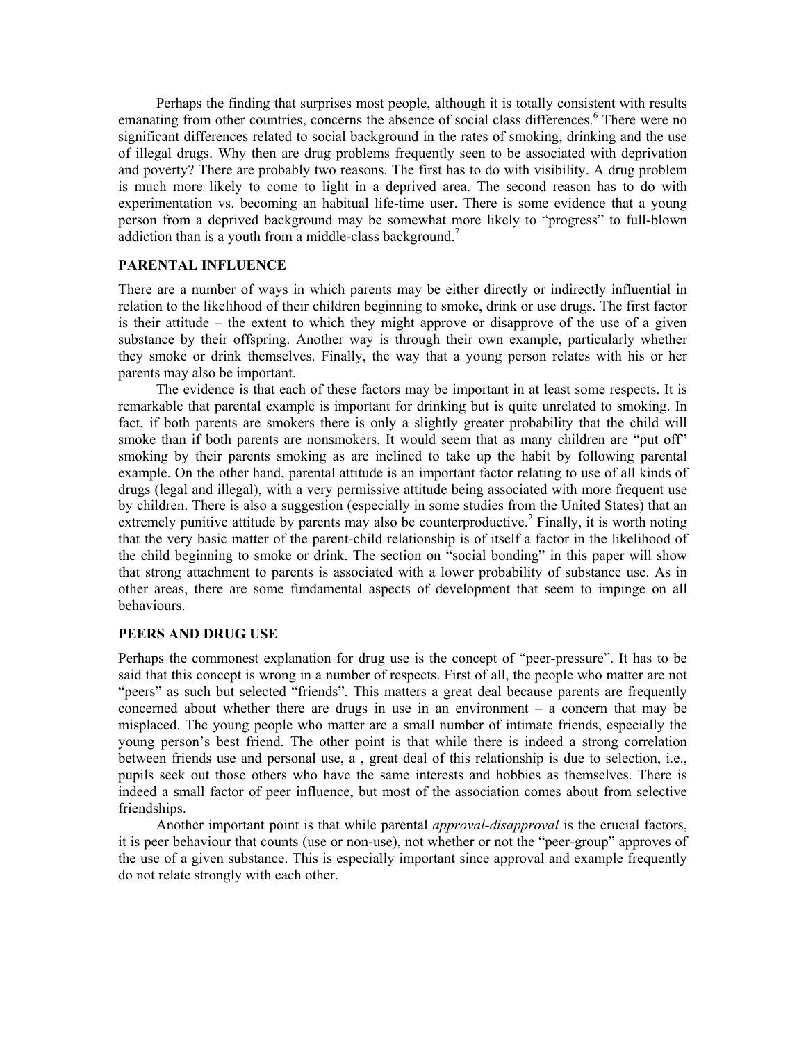Perhaps the finding that surprises most people, although it is totally consistent with results emanating from other countries, concerns the absence of social class differences.<sup>6</sup> There were no significant differences related to social background in the rates of smoking, drinking and the use of illegal drugs. Why then are drug problems frequently seen to be associated with deprivation and poverty? There are probably two reasons. The first has to do with visibility. A drug problem is much more likely to come to light in a deprived area. The second reason has to do with experimentation vs. becoming an habitual life-time user. There is some evidence that a young person from a deprived background may be somewhat more likely to "progress" to full-blown addiction than is a youth from a middle-class background.<sup>7</sup>

# **PARENTAL INFLUENCE**

There are a number of ways in which parents may be either directly or indirectly influential in relation to the likelihood of their children beginning to smoke, drink or use drugs. The first factor is their attitude – the extent to which they might approve or disapprove of the use of a given substance by their offspring. Another way is through their own example, particularly whether they smoke or drink themselves. Finally, the way that a young person relates with his or her parents may also be important.

 The evidence is that each of these factors may be important in at least some respects. It is remarkable that parental example is important for drinking but is quite unrelated to smoking. In fact, if both parents are smokers there is only a slightly greater probability that the child will smoke than if both parents are nonsmokers. It would seem that as many children are "put off" smoking by their parents smoking as are inclined to take up the habit by following parental example. On the other hand, parental attitude is an important factor relating to use of all kinds of drugs (legal and illegal), with a very permissive attitude being associated with more frequent use by children. There is also a suggestion (especially in some studies from the United States) that an extremely punitive attitude by parents may also be counterproductive.<sup>2</sup> Finally, it is worth noting that the very basic matter of the parent-child relationship is of itself a factor in the likelihood of the child beginning to smoke or drink. The section on "social bonding" in this paper will show that strong attachment to parents is associated with a lower probability of substance use. As in other areas, there are some fundamental aspects of development that seem to impinge on all behaviours.

## **PEERS AND DRUG USE**

Perhaps the commonest explanation for drug use is the concept of "peer-pressure". It has to be said that this concept is wrong in a number of respects. First of all, the people who matter are not "peers" as such but selected "friends". This matters a great deal because parents are frequently concerned about whether there are drugs in use in an environment – a concern that may be misplaced. The young people who matter are a small number of intimate friends, especially the young person's best friend. The other point is that while there is indeed a strong correlation between friends use and personal use, a , great deal of this relationship is due to selection, i.e., pupils seek out those others who have the same interests and hobbies as themselves. There is indeed a small factor of peer influence, but most of the association comes about from selective friendships.

 Another important point is that while parental *approval-disapproval* is the crucial factors, it is peer behaviour that counts (use or non-use), not whether or not the "peer-group" approves of the use of a given substance. This is especially important since approval and example frequently do not relate strongly with each other.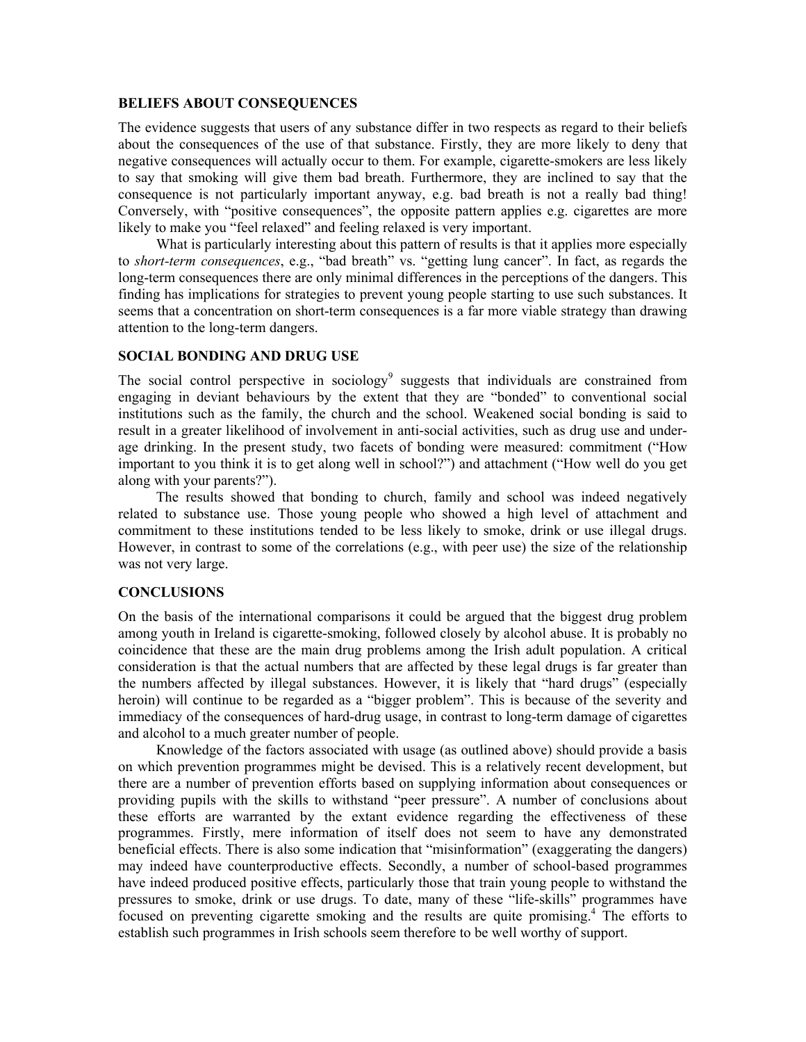#### **BELIEFS ABOUT CONSEQUENCES**

The evidence suggests that users of any substance differ in two respects as regard to their beliefs about the consequences of the use of that substance. Firstly, they are more likely to deny that negative consequences will actually occur to them. For example, cigarette-smokers are less likely to say that smoking will give them bad breath. Furthermore, they are inclined to say that the consequence is not particularly important anyway, e.g. bad breath is not a really bad thing! Conversely, with "positive consequences", the opposite pattern applies e.g. cigarettes are more likely to make you "feel relaxed" and feeling relaxed is very important.

 What is particularly interesting about this pattern of results is that it applies more especially to *short-term consequences*, e.g., "bad breath" vs. "getting lung cancer". In fact, as regards the long-term consequences there are only minimal differences in the perceptions of the dangers. This finding has implications for strategies to prevent young people starting to use such substances. It seems that a concentration on short-term consequences is a far more viable strategy than drawing attention to the long-term dangers.

# **SOCIAL BONDING AND DRUG USE**

The social control perspective in sociology<sup>9</sup> suggests that individuals are constrained from engaging in deviant behaviours by the extent that they are "bonded" to conventional social institutions such as the family, the church and the school. Weakened social bonding is said to result in a greater likelihood of involvement in anti-social activities, such as drug use and underage drinking. In the present study, two facets of bonding were measured: commitment ("How important to you think it is to get along well in school?") and attachment ("How well do you get along with your parents?").

 The results showed that bonding to church, family and school was indeed negatively related to substance use. Those young people who showed a high level of attachment and commitment to these institutions tended to be less likely to smoke, drink or use illegal drugs. However, in contrast to some of the correlations (e.g., with peer use) the size of the relationship was not very large.

## **CONCLUSIONS**

On the basis of the international comparisons it could be argued that the biggest drug problem among youth in Ireland is cigarette-smoking, followed closely by alcohol abuse. It is probably no coincidence that these are the main drug problems among the Irish adult population. A critical consideration is that the actual numbers that are affected by these legal drugs is far greater than the numbers affected by illegal substances. However, it is likely that "hard drugs" (especially heroin) will continue to be regarded as a "bigger problem". This is because of the severity and immediacy of the consequences of hard-drug usage, in contrast to long-term damage of cigarettes and alcohol to a much greater number of people.

 Knowledge of the factors associated with usage (as outlined above) should provide a basis on which prevention programmes might be devised. This is a relatively recent development, but there are a number of prevention efforts based on supplying information about consequences or providing pupils with the skills to withstand "peer pressure". A number of conclusions about these efforts are warranted by the extant evidence regarding the effectiveness of these programmes. Firstly, mere information of itself does not seem to have any demonstrated beneficial effects. There is also some indication that "misinformation" (exaggerating the dangers) may indeed have counterproductive effects. Secondly, a number of school-based programmes have indeed produced positive effects, particularly those that train young people to withstand the pressures to smoke, drink or use drugs. To date, many of these "life-skills" programmes have focused on preventing cigarette smoking and the results are quite promising.<sup>4</sup> The efforts to establish such programmes in Irish schools seem therefore to be well worthy of support.